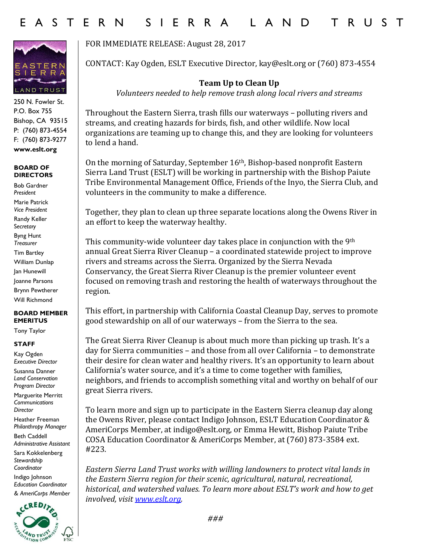

250 N. Fowler St. P.O. Box 755 Bishop, CA 93515 P: (760) 873-4554 F: (760) 873-9277 **www.eslt.org**

## **BOARD OF DIRECTORS**

Bob Gardner *President* Marie Patrick *Vice President* Randy Keller S*ecretary* Byng Hunt *Treasurer* Tim Bartley William Dunlap Jan Hunewill Joanne Parsons Brynn Pewtherer Will Richmond

## **BOARD MEMBER EMERITUS**

Tony Taylor

## **STAFF**

Kay Ogden *Executive Director*

Susanna Danner *Land Conservation Program Director*

Marguerite Merritt *Communications Director*

Heather Freeman *Philanthropy Manager*

Beth Caddell *Administrative Assistant* 

Sara Kokkelenberg *Stewardship Coordinator* 

Indigo Johnson *Education Coordinator & AmeriCorps Member*



FOR IMMEDIATE RELEASE: August 28, 2017

CONTACT: Kay Ogden, ESLT Executive Director, kay@eslt.org or (760) 873-4554

**Team Up to Clean Up** *Volunteers needed to help remove trash along local rivers and streams*

Throughout the Eastern Sierra, trash fills our waterways – polluting rivers and streams, and creating hazards for birds, fish, and other wildlife. Now local organizations are teaming up to change this, and they are looking for volunteers to lend a hand.

On the morning of Saturday, September 16th, Bishop-based nonprofit Eastern Sierra Land Trust (ESLT) will be working in partnership with the Bishop Paiute Tribe Environmental Management Office, Friends of the Inyo, the Sierra Club, and volunteers in the community to make a difference.

Together, they plan to clean up three separate locations along the Owens River in an effort to keep the waterway healthy.

This community-wide volunteer day takes place in conjunction with the 9th annual Great Sierra River Cleanup – a coordinated statewide project to improve rivers and streams across the Sierra. Organized by the Sierra Nevada Conservancy, the Great Sierra River Cleanup is the premier volunteer event focused on removing trash and restoring the health of waterways throughout the region.

This effort, in partnership with California Coastal Cleanup Day, serves to promote good stewardship on all of our waterways – from the Sierra to the sea.

The Great Sierra River Cleanup is about much more than picking up trash. It's a day for Sierra communities – and those from all over California – to demonstrate their desire for clean water and healthy rivers. It's an opportunity to learn about California's water source, and it's a time to come together with families, neighbors, and friends to accomplish something vital and worthy on behalf of our great Sierra rivers.

To learn more and sign up to participate in the Eastern Sierra cleanup day along the Owens River, please contact Indigo Johnson, ESLT Education Coordinator & AmeriCorps Member, at indigo@eslt.org, or Emma Hewitt, Bishop Paiute Tribe COSA Education Coordinator & AmeriCorps Member, at (760) 873-3584 ext. #223.

*Eastern Sierra Land Trust works with willing landowners to protect vital lands in the Eastern Sierra region for their scenic, agricultural, natural, recreational, historical, and watershed values. To learn more about ESLT's work and how to get involved, visi[t www.eslt.org.](http://www.eslt.org/)*